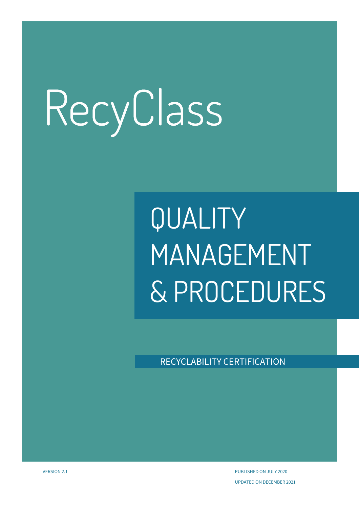## QUALITY MANAGEMENT & PROCEDURES

RECYCLABILITY CERTIFICATION

VERSION 2.1 PUBLISHED ON JULY 2020 UPDATED ON DECEMBER 2021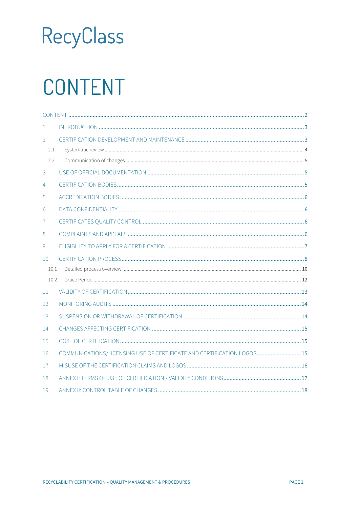## <span id="page-1-0"></span>CONTENT

| $\mathbf{1}$   |                                                                        |  |  |  |
|----------------|------------------------------------------------------------------------|--|--|--|
| 2              |                                                                        |  |  |  |
| 2.1            |                                                                        |  |  |  |
| 2.2            |                                                                        |  |  |  |
| 3              |                                                                        |  |  |  |
| $\overline{4}$ |                                                                        |  |  |  |
| 5              |                                                                        |  |  |  |
| 6              |                                                                        |  |  |  |
| 7              |                                                                        |  |  |  |
| 8              |                                                                        |  |  |  |
| 9              |                                                                        |  |  |  |
| 10             |                                                                        |  |  |  |
| 10.1           |                                                                        |  |  |  |
| 10.2           |                                                                        |  |  |  |
| 11             |                                                                        |  |  |  |
| 12             |                                                                        |  |  |  |
| 13             |                                                                        |  |  |  |
| 14             |                                                                        |  |  |  |
| 15             |                                                                        |  |  |  |
| 16             | COMMUNICATIONS/LICENSING USE OF CERTIFICATE AND CERTIFICATION LOGOS 15 |  |  |  |
| 17             |                                                                        |  |  |  |
| 18             |                                                                        |  |  |  |
| 19             |                                                                        |  |  |  |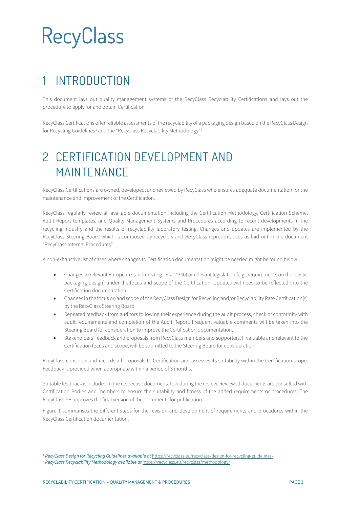### <span id="page-2-0"></span>**INTRODUCTION**

This document lays out quality management systems of the RecyClass Recyclability Certifications and lays out the procedure to apply for and obtain Certification.

RecyClass Certifications offer reliable assessments of the recyclability of a packaging design based on the RecyClass Design for Recycling Guidelines<sup>[1](#page-2-2)</sup> and the "RecyClass Recyclability Methodology"<sup>[2](#page-2-3)</sup>.

### <span id="page-2-1"></span>2 CERTIFICATION DEVELOPMENT AND MAINTENANCE

RecyClass Certifications are owned, developed, and reviewed by RecyClass who ensures adequate documentation for the maintenance and improvement of the Certification.

RecyClass regularly review all available documentation including the Certification Methodology, Certification Scheme, Audit Report templates, and Quality Management Systems and Procedures according to recent developments in the recycling industry and the results of recyclability laboratory testing. Changes and updates are implemented by the RecyClass Steering Board which is composed by recyclers and RecyClass representatives as laid out in the document "RecyClass Internal Procedures".

A non-exhaustive list of cases where changes to Certification documentation might be needed might be found below:

- Changes to relevant European standards (e.g., EN 14340) or relevant legislation (e.g., requirements on the plastic packaging design) under the focus and scope of the Certification. Updates will need to be reflected into the Certification documentation.
- Changes in the focus or/and scope of the RecyClass Design for Recycling and/or Recyclability Rate Certification(s) by the RecyClass Steering Board.
- Repeated feedback from auditors following their experience during the audit process, check of conformity with audit requirements and completion of the Audit Report. Frequent valuable comments will be taken into the Steering Board for consideration to improve the Certification documentation.
- Stakeholders' feedback and proposals from RecyClass members and supporters. If valuable and relevant to the Certification focus and scope, will be submitted to the Steering Board for consideration.

RecyClass considers and records all proposals to Certification and assesses its suitability within the Certification scope. Feedback is provided when appropriate within a period of 3 months.

Suitable feedback is included in the respective documentation during the review. Reviewed documents are consulted with Certification Bodies and members to ensure the suitability and fitness of the added requirements or procedures. The RecyClass SB approves the final version of the documents for publication.

Figure 1 summarises the different steps for the revision and development of requirements and procedures within the RecyClass Certification documentation.

*<sup>1</sup> RecyClass Design for Recycling Guidelines available at* <https://recyclass.eu/recyclass/design-for-recycling-guidelines/>

<span id="page-2-3"></span><span id="page-2-2"></span>*<sup>2</sup> RecyClass Recyclability Methodology available at* <https://recyclass.eu/recyclass/methodology/>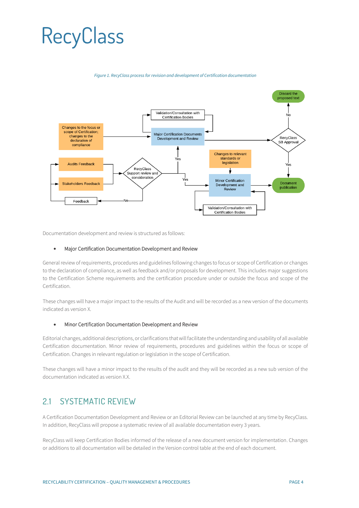#### *Figure 1. RecyClass process for revision and development of Certification documentation*



Documentation development and review is structured as follows:

#### • Major Certification Documentation Development and Review

General review of requirements, procedures and guidelines following changes to focus or scope of Certification or changes to the declaration of compliance, as well as feedback and/or proposals for development. This includes major suggestions to the Certification Scheme requirements and the certification procedure under or outside the focus and scope of the Certification.

These changes will have a major impact to the results of the Audit and will be recorded as a new version of the documents indicated as version X.

#### • Minor Certification Documentation Development and Review

Editorial changes, additional descriptions, or clarifications that will facilitate the understanding and usability of all available Certification documentation. Minor review of requirements, procedures and guidelines within the focus or scope of Certification. Changes in relevant regulation or legislation in the scope of Certification.

These changes will have a minor impact to the results of the audit and they will be recorded as a new sub version of the documentation indicated as version X.X.

#### <span id="page-3-0"></span>2.1 SYSTEMATIC REVIEW

A Certification Documentation Development and Review or an Editorial Review can be launched at any time by RecyClass. In addition, RecyClass will propose a systematic review of all available documentation every 3 years.

RecyClass will keep Certification Bodies informed of the release of a new document version for implementation. Changes or additions to all documentation will be detailed in the Version control table at the end of each document.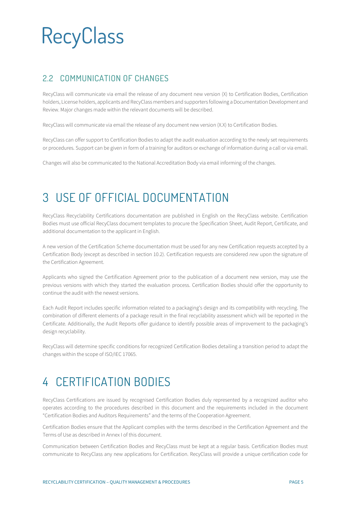#### <span id="page-4-0"></span>2.2 COMMUNICATION OF CHANGES

RecyClass will communicate via email the release of any document new version (X) to Certification Bodies, Certification holders, License holders, applicants and RecyClass members and supporters following a Documentation Development and Review. Major changes made within the relevant documents will be described.

RecyClass will communicate via email the release of any document new version (X.X) to Certification Bodies.

RecyClass can offer support to Certification Bodies to adapt the audit evaluation according to the newly set requirements or procedures. Support can be given in form of a training for auditors or exchange of information during a call or via email.

Changes will also be communicated to the National Accreditation Body via email informing of the changes.

### <span id="page-4-1"></span>3 USE OF OFFICIAL DOCUMENTATION

RecyClass Recyclability Certifications documentation are published in English on the RecyClass website. Certification Bodies must use official RecyClass document templates to procure the Specification Sheet, Audit Report, Certificate, and additional documentation to the applicant in English.

A new version of the Certification Scheme documentation must be used for any new Certification requests accepted by a Certification Body (except as described in section 10.2). Certification requests are considered *new* upon the signature of the Certification Agreement.

Applicants who signed the Certification Agreement prior to the publication of a document new version, may use the previous versions with which they started the evaluation process. Certification Bodies should offer the opportunity to continue the audit with the newest versions.

Each Audit Report includes specific information related to a packaging's design and its compatibility with recycling. The combination of different elements of a package result in the final recyclability assessment which will be reported in the Certificate. Additionally, the Audit Reports offer guidance to identify possible areas of improvement to the packaging's design recyclability.

RecyClass will determine specific conditions for recognized Certification Bodies detailing a transition period to adapt the changes within the scope of ISO/IEC 17065.

### <span id="page-4-2"></span>4 CERTIFICATION BODIES

RecyClass Certifications are issued by recognised Certification Bodies duly represented by a recognized auditor who operates according to the procedures described in this document and the requirements included in the document "Certification Bodies and Auditors Requirements" and the terms of the Cooperation Agreement.

Certification Bodies ensure that the Applicant complies with the terms described in the Certification Agreement and the Terms of Use as described in Annex I of this document.

Communication between Certification Bodies and RecyClass must be kept at a regular basis. Certification Bodies must communicate to RecyClass any new applications for Certification. RecyClass will provide a unique certification code for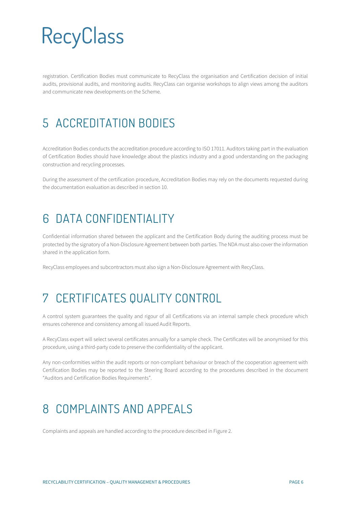registration. Certification Bodies must communicate to RecyClass the organisation and Certification decision of initial audits, provisional audits, and monitoring audits. RecyClass can organise workshops to align views among the auditors and communicate new developments on the Scheme.

### <span id="page-5-0"></span>5 ACCREDITATION BODIES

Accreditation Bodies conducts the accreditation procedure according to ISO 17011. Auditors taking part in the evaluation of Certification Bodies should have knowledge about the plastics industry and a good understanding on the packaging construction and recycling processes.

During the assessment of the certification procedure, Accreditation Bodies may rely on the documents requested during the documentation evaluation as described in section 10.

### <span id="page-5-1"></span>6 DATA CONFIDENTIALITY

Confidential information shared between the applicant and the Certification Body during the auditing process must be protected by the signatory of a Non-Disclosure Agreement between both parties. The NDA must also cover the information shared in the application form.

RecyClass employees and subcontractors must also sign a Non-Disclosure Agreement with RecyClass.

### <span id="page-5-2"></span>7 CERTIFICATES QUALITY CONTROL

A control system guarantees the quality and rigour of all Certifications via an internal sample check procedure which ensures coherence and consistency among all issued Audit Reports.

A RecyClass expert will select several certificates annually for a sample check. The Certificates will be anonymised for this procedure, using a third-party code to preserve the confidentiality of the applicant.

Any non-conformities within the audit reports or non-compliant behaviour or breach of the cooperation agreement with Certification Bodies may be reported to the Steering Board according to the procedures described in the document "Auditors and Certification Bodies Requirements".

### <span id="page-5-3"></span>8 COMPLAINTS AND APPEALS

Complaints and appeals are handled according to the procedure described in Figure 2.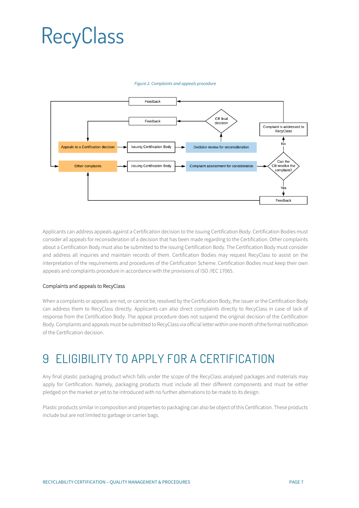#### *Figure 2. Complaints and appeals procedure*



Applicants can address appeals against a Certification decision to the issuing Certification Body. Certification Bodies must consider all appeals for reconsideration of a decision that has been made regarding to the Certification. Other complaints about a Certification Body must also be submitted to the issuing Certification Body. The Certification Body must consider and address all inquiries and maintain records of them. Certification Bodies may request RecyClass to assist on the interpretation of the requirements and procedures of the Certification Scheme. Certification Bodies must keep their own appeals and complaints procedure in accordance with the provisions of ISO /IEC 17065.

#### Complaints and appeals to RecyClass

When a complaints or appeals are not, or cannot be, resolved by the Certification Body, the issuer or the Certification Body can address them to RecyClass directly. Applicants can also direct complaints directly to RecyClass in case of lack of response from the Certification Body. The appeal procedure does not suspend the original decision of the Certification Body. Complaints and appeals must be submitted to RecyClass via official letter within one month of the formal notification of the Certification decision.

### <span id="page-6-0"></span>9 ELIGIBILITY TO APPLY FOR A CERTIFICATION

Any final plastic packaging product which falls under the scope of the RecyClass analysed packages and materials may apply for Certification. Namely, packaging products must include all their different components and must be either pledged on the market or yet to be introduced with no further alternations to be made to its design.

Plastic products similar in composition and properties to packaging can also be object of this Certification. These products include but are not limited to garbage or carrier bags.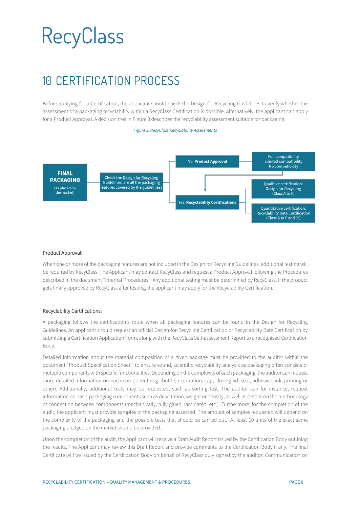### <span id="page-7-0"></span>10 CERTIFICATION PROCESS

Before applying for a Certification, the applicant should check the Design for Recycling Guidelines to verify whether the assessment of a packaging recyclability within a RecyClass Certification is possible. Alternatively, the applicant can apply for a Product Approval. A decision tree in Figure 3 describes the recyclability assessment suitable for packaging.



#### Product Approval:

When one or more of the packaging features are not included in the Design for Recycling Guidelines, additional testing will be required by RecyClass. The Applicant may contact RecyClass and request a Product Approval following the Procedures described in the document "Internal Procedures". Any additional testing must be determined by RecyClass. If the product gets finally approved by RecyClass after testing, the applicant may apply for the Recyclability Certification.

#### Recyclability Certifications:

A packaging follows the certification's route when all packaging features can be found in the Design for Recycling Guidelines. An applicant should request an official Design-for-Recycling Certification or Recyclability Rate Certification by submitting a Certification Application Form, along with the RecyClass Self-assessment Report to a recognised Certification Body.

Detailed information about the material composition of a given package must be provided to the auditor within the document "Product Specification Sheet", to ensure sound, scientific recyclability analysis as packaging often consists of multiple components with specific functionalities. Depending on the complexity of each packaging, the auditor can request more detailed information on each component (e.g., bottle, decoration, cap, closing lid, seal, adhesive, ink, printing or other). Additionally, additional tests may be requested, such as sorting test. The auditor can for instance, request information on basic packaging components such as description, weight or density, as well as details on the methodology of connection between components (mechanically, fully glued, laminated, etc.). Furthermore, for the completion of the audit, the applicant must provide samples of the packaging assessed. The amount of samples requested will depend on the complexity of the packaging and the possible tests that should be carried out. At least 10 units of the exact same packaging pledged on the market should be provided.

Upon the completion of the audit, the Applicant will receive a Draft Audit Report issued by the Certification Body outlining the results. The Applicant may review this Draft Report and provide comments to the Certification Body if any. The final Certificate will be issued by the Certification Body on behalf of RecyClass duly signed by the auditor. Communication on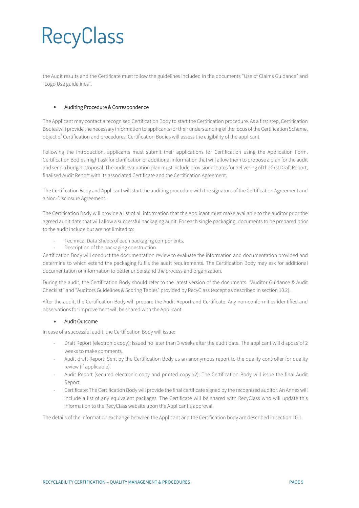the Audit results and the Certificate must follow the guidelines included in the documents "Use of Claims Guidance" and "Logo Use guidelines".

#### • Auditing Procedure & Correspondence

The Applicant may contact a recognised Certification Body to start the Certification procedure. As a first step, Certification Bodies will provide the necessary information to applicants for their understanding of the focus of the Certification Scheme, object of Certification and procedures. Certification Bodies will assess the eligibility of the applicant.

Following the introduction, applicants must submit their applications for Certification using the Application Form. Certification Bodies might ask for clarification or additional information that will allow them to propose a plan for the audit and send a budget proposal. The audit evaluation plan must include provisional dates for delivering of the first Draft Report, finalised Audit Report with its associated Certificate and the Certification Agreement.

The Certification Body and Applicant will start the auditing procedure with the signature of the Certification Agreement and a Non-Disclosure Agreement.

The Certification Body will provide a list of all information that the Applicant must make available to the auditor prior the agreed audit date that will allow a successful packaging audit. For each single packaging, documents to be prepared prior to the audit include but are not limited to:

- Technical Data Sheets of each packaging components.
- Description of the packaging construction.

Certification Body will conduct the documentation review to evaluate the information and documentation provided and determine to which extend the packaging fulfils the audit requirements. The Certification Body may ask for additional documentation or information to better understand the process and organization.

During the audit, the Certification Body should refer to the latest version of the documents "Auditor Guidance & Audit Checklist" and "Auditors Guidelines & Scoring Tables" provided by RecyClass (except as described in section 10.2).

After the audit, the Certification Body will prepare the Audit Report and Certificate. Any non-conformities identified and observations for improvement will be shared with the Applicant.

#### • Audit Outcome

In case of a successful audit, the Certification Body will issue:

- Draft Report (electronic copy): Issued no later than 3 weeks after the audit date. The applicant will dispose of 2 weeks to make comments.
- Audit draft Report: Sent by the Certification Body as an anonymous report to the quality controller for quality review (if applicable).
- Audit Report (secured electronic copy and printed copy x2): The Certification Body will issue the final Audit Report.
- Certificate: The Certification Body will provide the final certificate signed by the recognized auditor. An Annex will include a list of any equivalent packages. The Certificate will be shared with RecyClass who will update this information to the RecyClass website upon the Applicant's approval.

The details of the information exchange between the Applicant and the Certification body are described in section 10.1.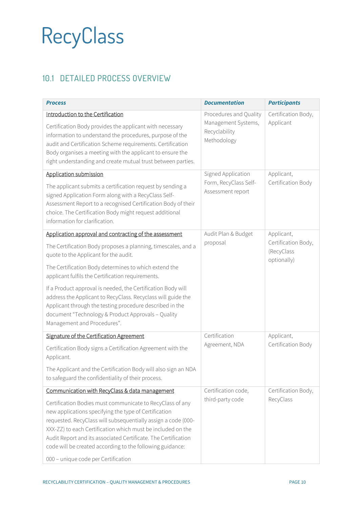### <span id="page-9-0"></span>10.1 DETAILED PROCESS OVERVIEW

| <b>Process</b>                                                                                                                                                                                                                                                                                                                                                                    | <b>Documentation</b>                                                          | <b>Participants</b>                              |  |
|-----------------------------------------------------------------------------------------------------------------------------------------------------------------------------------------------------------------------------------------------------------------------------------------------------------------------------------------------------------------------------------|-------------------------------------------------------------------------------|--------------------------------------------------|--|
| Introduction to the Certification<br>Certification Body provides the applicant with necessary<br>information to understand the procedures, purpose of the<br>audit and Certification Scheme requirements. Certification<br>Body organises a meeting with the applicant to ensure the<br>right understanding and create mutual trust between parties.                              | Procedures and Quality<br>Management Systems,<br>Recyclability<br>Methodology | Certification Body,<br>Applicant                 |  |
| <b>Application submission</b><br>The applicant submits a certification request by sending a                                                                                                                                                                                                                                                                                       | Signed Application<br>Form, RecyClass Self-                                   | Applicant,<br>Certification Body                 |  |
| signed Application Form along with a RecyClass Self-<br>Assessment Report to a recognised Certification Body of their<br>choice. The Certification Body might request additional<br>information for clarification.                                                                                                                                                                | Assessment report                                                             |                                                  |  |
| Application approval and contracting of the assessment                                                                                                                                                                                                                                                                                                                            | Audit Plan & Budget                                                           | Applicant,                                       |  |
| The Certification Body proposes a planning, timescales, and a<br>quote to the Applicant for the audit.                                                                                                                                                                                                                                                                            | proposal                                                                      | Certification Body,<br>(RecyClass<br>optionally) |  |
| The Certification Body determines to which extend the<br>applicant fulfils the Certification requirements.                                                                                                                                                                                                                                                                        |                                                                               |                                                  |  |
| If a Product approval is needed, the Certification Body will<br>address the Applicant to RecyClass. Recyclass will guide the<br>Applicant through the testing procedure described in the<br>document "Technology & Product Approvals - Quality<br>Management and Procedures".                                                                                                     |                                                                               |                                                  |  |
| Signature of the Certification Agreement                                                                                                                                                                                                                                                                                                                                          | Certification                                                                 | Applicant,                                       |  |
| Certification Body signs a Certification Agreement with the<br>Applicant.                                                                                                                                                                                                                                                                                                         | Agreement, NDA                                                                | Certification Body                               |  |
| The Applicant and the Certification Body will also sign an NDA<br>to safeguard the confidentiality of their process.                                                                                                                                                                                                                                                              |                                                                               |                                                  |  |
| Communication with RecyClass & data management                                                                                                                                                                                                                                                                                                                                    | Certification code,                                                           | Certification Body,                              |  |
| Certification Bodies must communicate to RecyClass of any<br>new applications specifying the type of Certification<br>requested. RecyClass will subsequentially assign a code (000-<br>XXX-ZZ) to each Certification which must be included on the<br>Audit Report and its associated Certificate. The Certification<br>code will be created according to the following guidance: | third-party code                                                              | RecyClass                                        |  |
| 000 - unique code per Certification                                                                                                                                                                                                                                                                                                                                               |                                                                               |                                                  |  |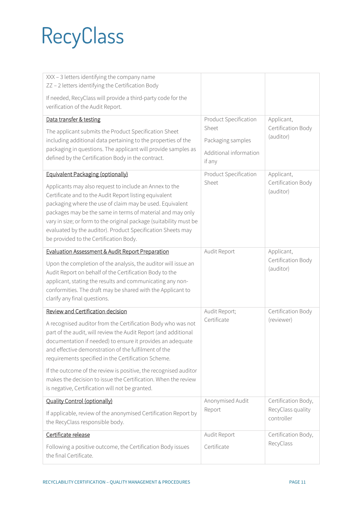| XXX - 3 letters identifying the company name<br>ZZ - 2 letters identifying the Certification Body                                                                                                                                                                                                                                                                                                                                                                                             |                                                                                                                                  |                                                                                                |
|-----------------------------------------------------------------------------------------------------------------------------------------------------------------------------------------------------------------------------------------------------------------------------------------------------------------------------------------------------------------------------------------------------------------------------------------------------------------------------------------------|----------------------------------------------------------------------------------------------------------------------------------|------------------------------------------------------------------------------------------------|
| If needed, RecyClass will provide a third-party code for the<br>verification of the Audit Report.                                                                                                                                                                                                                                                                                                                                                                                             |                                                                                                                                  |                                                                                                |
| Data transfer & testing<br>The applicant submits the Product Specification Sheet<br>including additional data pertaining to the properties of the<br>packaging in questions. The applicant will provide samples as<br>defined by the Certification Body in the contract.<br>Equivalent Packaging (optionally)<br>Applicants may also request to include an Annex to the<br>Certificate and to the Audit Report listing equivalent<br>packaging where the use of claim may be used. Equivalent | Product Specification<br>Sheet<br>Packaging samples<br>Additional information<br>if any<br><b>Product Specification</b><br>Sheet | Applicant,<br>Certification Body<br>(auditor)<br>Applicant,<br>Certification Body<br>(auditor) |
| packages may be the same in terms of material and may only<br>vary in size; or form to the original package (suitability must be<br>evaluated by the auditor). Product Specification Sheets may<br>be provided to the Certification Body.                                                                                                                                                                                                                                                     |                                                                                                                                  |                                                                                                |
| <b>Evaluation Assessment &amp; Audit Report Preparation</b>                                                                                                                                                                                                                                                                                                                                                                                                                                   | Audit Report                                                                                                                     | Applicant,                                                                                     |
| Upon the completion of the analysis, the auditor will issue an<br>Audit Report on behalf of the Certification Body to the<br>applicant, stating the results and communicating any non-<br>conformities. The draft may be shared with the Applicant to<br>clarify any final questions.                                                                                                                                                                                                         |                                                                                                                                  | Certification Body<br>(auditor)                                                                |
| Review and Certification decision                                                                                                                                                                                                                                                                                                                                                                                                                                                             | Audit Report;                                                                                                                    | Certification Body                                                                             |
| A recognised auditor from the Certification Body who was not<br>part of the audit, will review the Audit Report (and additional<br>documentation if needed) to ensure it provides an adequate<br>and effective demonstration of the fulfilment of the<br>requirements specified in the Certification Scheme.                                                                                                                                                                                  | Certificate                                                                                                                      | (reviewer)                                                                                     |
| If the outcome of the review is positive, the recognised auditor<br>makes the decision to issue the Certification. When the review<br>is negative, Certification will not be granted.                                                                                                                                                                                                                                                                                                         |                                                                                                                                  |                                                                                                |
| <b>Quality Control (optionally)</b>                                                                                                                                                                                                                                                                                                                                                                                                                                                           | Anonymised Audit                                                                                                                 | Certification Body,                                                                            |
| If applicable, review of the anonymised Certification Report by<br>the RecyClass responsible body.                                                                                                                                                                                                                                                                                                                                                                                            | Report                                                                                                                           | RecyClass quality<br>controller                                                                |
| Certificate release                                                                                                                                                                                                                                                                                                                                                                                                                                                                           | Audit Report                                                                                                                     | Certification Body,                                                                            |
| Following a positive outcome, the Certification Body issues<br>the final Certificate.                                                                                                                                                                                                                                                                                                                                                                                                         | Certificate                                                                                                                      | RecyClass                                                                                      |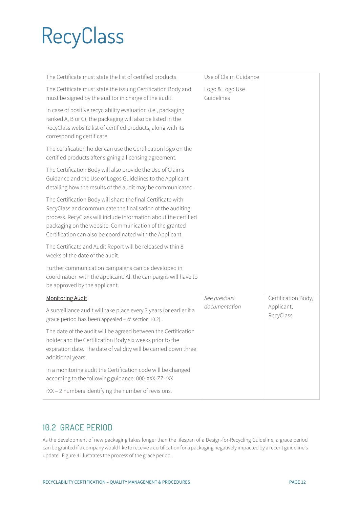| The Certificate must state the list of certified products.                                                                                                                                                                                                                                                           | Use of Claim Guidance         |                         |
|----------------------------------------------------------------------------------------------------------------------------------------------------------------------------------------------------------------------------------------------------------------------------------------------------------------------|-------------------------------|-------------------------|
| The Certificate must state the issuing Certification Body and<br>must be signed by the auditor in charge of the audit.                                                                                                                                                                                               | Logo & Logo Use<br>Guidelines |                         |
| In case of positive recyclability evaluation (i.e., packaging<br>ranked A, B or C), the packaging will also be listed in the<br>RecyClass website list of certified products, along with its<br>corresponding certificate.                                                                                           |                               |                         |
| The certification holder can use the Certification logo on the<br>certified products after signing a licensing agreement.                                                                                                                                                                                            |                               |                         |
| The Certification Body will also provide the Use of Claims<br>Guidance and the Use of Logos Guidelines to the Applicant<br>detailing how the results of the audit may be communicated.                                                                                                                               |                               |                         |
| The Certification Body will share the final Certificate with<br>RecyClass and communicate the finalisation of the auditing<br>process. RecyClass will include information about the certified<br>packaging on the website. Communication of the granted<br>Certification can also be coordinated with the Applicant. |                               |                         |
| The Certificate and Audit Report will be released within 8<br>weeks of the date of the audit.                                                                                                                                                                                                                        |                               |                         |
| Further communication campaigns can be developed in<br>coordination with the applicant. All the campaigns will have to<br>be approved by the applicant.                                                                                                                                                              |                               |                         |
| <b>Monitoring Audit</b>                                                                                                                                                                                                                                                                                              | See previous                  | Certification Body,     |
| A surveillance audit will take place every 3 years (or earlier if a<br>grace period has been appealed - cf: section 10.2).                                                                                                                                                                                           | documentation                 | Applicant,<br>RecyClass |
| The date of the audit will be agreed between the Certification<br>holder and the Certification Body six weeks prior to the<br>expiration date. The date of validity will be carried down three<br>additional years.                                                                                                  |                               |                         |
| In a monitoring audit the Certification code will be changed<br>according to the following guidance: 000-XXX-ZZ-rXX                                                                                                                                                                                                  |                               |                         |
| rXX - 2 numbers identifying the number of revisions.                                                                                                                                                                                                                                                                 |                               |                         |

#### <span id="page-11-0"></span>10.2 GRACE PERIOD

As the development of new packaging takes longer than the lifespan of a Design-for-Recycling Guideline, a grace period can be granted if a company would like to receive a certification for a packaging negatively impacted by a recent guideline's update. Figure 4 illustrates the process of the grace period.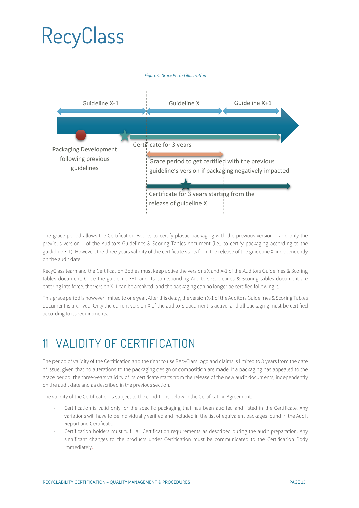

The grace period allows the Certification Bodies to certify plastic packaging with the previous version – and only the previous version – of the Auditors Guidelines & Scoring Tables document (i.e., to certify packaging according to the guideline X-1). However, the three-years validity of the certificate starts from the release of the guideline X, independently on the audit date.

RecyClass team and the Certification Bodies must keep active the versions X and X-1 of the Auditors Guidelines & Scoring tables document. Once the guideline X+1 and its corresponding Auditors Guidelines & Scoring tables document are entering into force, the version X-1 can be archived, and the packaging can no longer be certified following it.

This grace period is however limited to one year. After this delay, the version X-1 of the Auditors Guidelines & Scoring Tables document is archived. Only the current version X of the auditors document is active, and all packaging must be certified according to its requirements.

### <span id="page-12-0"></span>11 VALIDITY OF CERTIFICATION

The period of validity of the Certification and the right to use RecyClass logo and claims is limited to 3 years from the date of issue, given that no alterations to the packaging design or composition are made. If a packaging has appealed to the grace period, the three-years validity of its certificate starts from the release of the new audit documents, independently on the audit date and as described in the previous section.

The validity of the Certification is subject to the conditions below in the Certification Agreement:

- Certification is valid only for the specific packaging that has been audited and listed in the Certificate. Any variations will have to be individually verified and included in the list of equivalent packages found in the Audit Report and Certificate.
- Certification holders must fulfil all Certification requirements as described during the audit preparation. Any significant changes to the products under Certification must be communicated to the Certification Body immediately.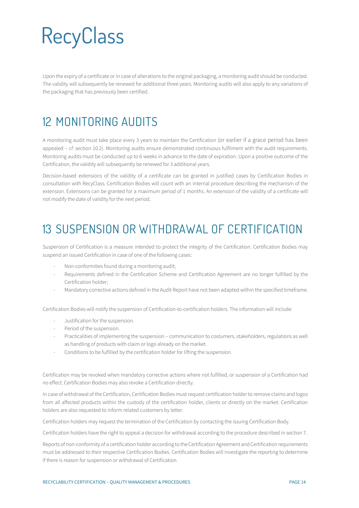Upon the expiry of a certificate or in case of alterations to the original packaging, a monitoring audit should be conducted. The validity will subsequently be renewed for additional three years. Monitoring audits will also apply to any variations of the packaging that has previously been certified.

### <span id="page-13-0"></span>12 MONITORING AUDITS

A monitoring audit must take place every 3 years to maintain the Certification (or earlier if a grace period has been appealed – *cf*: section 10.2). Monitoring audits ensure demonstrated continuous fulfilment with the audit requirements. Monitoring audits must be conducted up to 6 weeks in advance to the date of expiration. Upon a positive outcome of the Certification, the validity will subsequently be renewed for 3 additional years.

Decision-based extensions of the validity of a certificate can be granted in justified cases by Certification Bodies in consultation with RecyClass. Certification Bodies will count with an internal procedure describing the mechanism of the extension. Extensions can be granted for a maximum period of 1 months. An extension of the validity of a certificate will not modify the date of validity for the next period.

### <span id="page-13-1"></span>13 SUSPENSION OR WITHDRAWAL OF CERTIFICATION

Suspension of Certification is a measure intended to protect the integrity of the Certification. Certification Bodies may suspend an issued Certification in case of one of the following cases:

- Non-conformities found during a monitoring audit;
- Requirements defined in the Certification Scheme and Certification Agreement are no longer fulfilled by the Certification holder;
- Mandatory corrective actions defined in the Audit Report have not been adapted within the specified timeframe.

Certification Bodies will notify the suspension of Certification-to-certification holders. The information will include:

- Justification for the suspension.
- Period of the suspension.
- Practicalities of implementing the suspension communication to costumers, stakeholders, regulations as well as handling of products with claim or logo already on the market.
- Conditions to be fulfilled by the certification holder for lifting the suspension.

Certification may be revoked when mandatory corrective actions where not fulfilled, or suspension of a Certification had no effect. Certification Bodies may also revoke a Certification directly.

In case of withdrawal of the Certification, Certification Bodies must request certification holder to remove claims and logos from all affected products within the custody of the certification holder, clients or directly on the market. Certification holders are also requested to inform related customers by letter.

Certification holders may request the termination of the Certification by contacting the issuing Certification Body.

Certification holders have the right to appeal a decision for withdrawal according to the procedure described in section 7.

Reports of non-conformity of a certification holder according to the Certification Agreement and Certification requirements must be addressed to their respective Certification Bodies. Certification Bodies will investigate the reporting to determine if there is reason for suspension or withdrawal of Certification.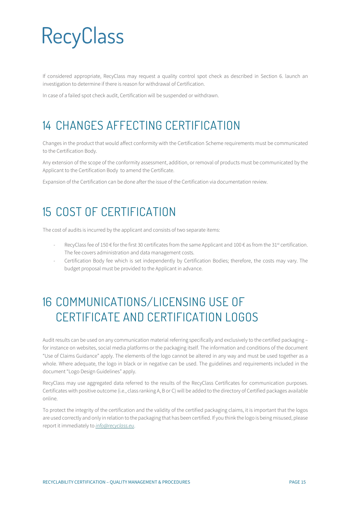If considered appropriate, RecyClass may request a quality control spot check as described in Section 6. launch an investigation to determine if there is reason for withdrawal of Certification.

In case of a failed spot check audit, Certification will be suspended or withdrawn.

### <span id="page-14-0"></span>14 CHANGES AFFECTING CERTIFICATION

Changes in the product that would affect conformity with the Certification Scheme requirements must be communicated to the Certification Body.

Any extension of the scope of the conformity assessment, addition, or removal of products must be communicated by the Applicant to the Certification Body to amend the Certificate.

Expansion of the Certification can be done after the issue of the Certification via documentation review.

### <span id="page-14-1"></span>15 COST OF CERTIFICATION

The cost of audits is incurred by the applicant and consists of two separate items:

- RecyClass fee of 150  $\in$  for the first 30 certificates from the same Applicant and 100  $\in$  as from the 31st certification. The fee covers administration and data management costs.
- Certification Body fee which is set independently by Certification Bodies; therefore, the costs may vary. The budget proposal must be provided to the Applicant in advance.

### <span id="page-14-2"></span>16 COMMUNICATIONS/LICENSING USE OF CERTIFICATE AND CERTIFICATION LOGOS

Audit results can be used on any communication material referring specifically and exclusively to the certified packaging – for instance on websites, social media platforms or the packaging itself. The information and conditions of the document "Use of Claims Guidance" apply. The elements of the logo cannot be altered in any way and must be used together as a whole. Where adequate, the logo in black or in negative can be used. The guidelines and requirements included in the document "Logo Design Guidelines" apply.

RecyClass may use aggregated data referred to the results of the RecyClass Certificates for communication purposes. Certificates with positive outcome (i.e., class ranking A, B or C) will be added to the directory of Certified packages available online.

To protect the integrity of the certification and the validity of the certified packaging claims, it is important that the logos are used correctly and only in relation to the packaging that has been certified. If you think the logo is being misused, please report it immediately to *[info@recyclass.eu](mailto:info@recyclass.eu)*.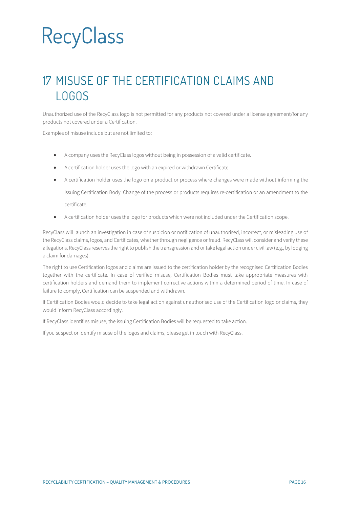### <span id="page-15-0"></span>17 MISUSE OF THE CERTIFICATION CLAIMS AND LOGOS

Unauthorized use of the RecyClass logo is not permitted for any products not covered under a license agreement/for any products not covered under a Certification.

Examples of misuse include but are not limited to:

- A company uses the RecyClass logos without being in possession of a valid certificate.
- A certification holder uses the logo with an expired or withdrawn Certificate.
- A certification holder uses the logo on a product or process where changes were made without informing the issuing Certification Body. Change of the process or products requires re-certification or an amendment to the certificate.
- A certification holder uses the logo for products which were not included under the Certification scope.

RecyClass will launch an investigation in case of suspicion or notification of unauthorised, incorrect, or misleading use of the RecyClass claims, logos, and Certificates, whether through negligence or fraud. RecyClass will consider and verify these allegations. RecyClass reserves the right to publish the transgression and or take legal action under civil law (e.g., by lodging a claim for damages).

The right to use Certification logos and claims are issued to the certification holder by the recognised Certification Bodies together with the certificate. In case of verified misuse, Certification Bodies must take appropriate measures with certification holders and demand them to implement corrective actions within a determined period of time. In case of failure to comply, Certification can be suspended and withdrawn.

If Certification Bodies would decide to take legal action against unauthorised use of the Certification logo or claims, they would inform RecyClass accordingly.

If RecyClass identifies misuse, the issuing Certification Bodies will be requested to take action.

If you suspect or identify misuse of the logos and claims, please get in touch with RecyClass.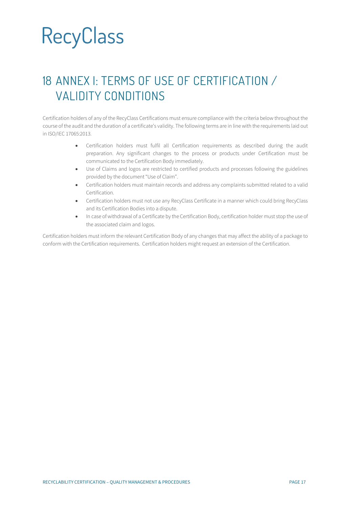### <span id="page-16-0"></span>18 ANNEX I: TERMS OF USE OF CERTIFICATION / VALIDITY CONDITIONS

Certification holders of any of the RecyClass Certifications must ensure compliance with the criteria below throughout the course of the audit and the duration of a certificate's validity. The following terms are in line with the requirements laid out in ISO/IEC 17065:2013.

- Certification holders must fulfil all Certification requirements as described during the audit preparation. Any significant changes to the process or products under Certification must be communicated to the Certification Body immediately.
- Use of Claims and logos are restricted to certified products and processes following the guidelines provided by the document "Use of Claim".
- Certification holders must maintain records and address any complaints submitted related to a valid Certification.
- Certification holders must not use any RecyClass Certificate in a manner which could bring RecyClass and its Certification Bodies into a dispute.
- In case of withdrawal of a Certificate by the Certification Body, certification holder must stop the use of the associated claim and logos.

Certification holders must inform the relevant Certification Body of any changes that may affect the ability of a package to conform with the Certification requirements. Certification holders might request an extension of the Certification.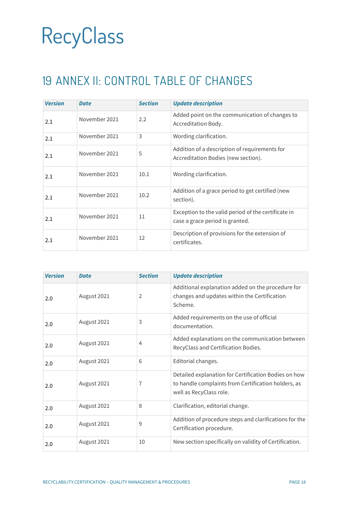### <span id="page-17-0"></span>19 ANNEX II: CONTROL TABLE OF CHANGES

| <b>Version</b> | <b>Date</b>   | <b>Section</b> | <b>Update description</b>                                                              |
|----------------|---------------|----------------|----------------------------------------------------------------------------------------|
| 2.1            | November 2021 | 2.2            | Added point on the communication of changes to<br>Accreditation Body.                  |
| 2.1            | November 2021 | 3              | Wording clarification.                                                                 |
| 2.1            | November 2021 | 5              | Addition of a description of requirements for<br>Accreditation Bodies (new section).   |
| 2.1            | November 2021 | 10.1           | Wording clarification.                                                                 |
| 2.1            | November 2021 | 10.2           | Addition of a grace period to get certified (new<br>section).                          |
| 2.1            | November 2021 | 11             | Exception to the valid period of the certificate in<br>case a grace period is granted. |
| 2.1            | November 2021 | 12             | Description of provisions for the extension of<br>certificates.                        |

| <b>Version</b> | <b>Date</b> | <b>Section</b> | <b>Update description</b>                                                                                                              |
|----------------|-------------|----------------|----------------------------------------------------------------------------------------------------------------------------------------|
| 2.0            | August 2021 | 2              | Additional explanation added on the procedure for<br>changes and updates within the Certification<br>Scheme.                           |
| 2.0            | August 2021 | 3              | Added requirements on the use of official<br>documentation.                                                                            |
| 2.0            | August 2021 | 4              | Added explanations on the communication between<br>RecyClass and Certification Bodies.                                                 |
| 2.0            | August 2021 | 6              | Editorial changes.                                                                                                                     |
| 2.0            | August 2021 | 7              | Detailed explanation for Certification Bodies on how<br>to handle complaints from Certification holders, as<br>well as RecyClass role. |
| 2.0            | August 2021 | 8              | Clarification, editorial change.                                                                                                       |
| 2.0            | August 2021 | 9              | Addition of procedure steps and clarifications for the<br>Certification procedure.                                                     |
| 2.0            | August 2021 | 10             | New section specifically on validity of Certification.                                                                                 |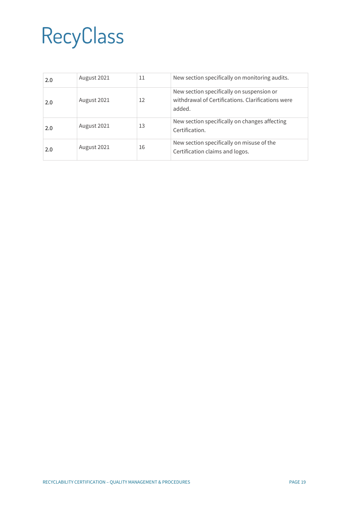| 2.0 | August 2021 | 11 | New section specifically on monitoring audits.                                                           |
|-----|-------------|----|----------------------------------------------------------------------------------------------------------|
| 2.0 | August 2021 | 12 | New section specifically on suspension or<br>withdrawal of Certifications. Clarifications were<br>added. |
| 2.0 | August 2021 | 13 | New section specifically on changes affecting<br>Certification.                                          |
| 2.0 | August 2021 | 16 | New section specifically on misuse of the<br>Certification claims and logos.                             |